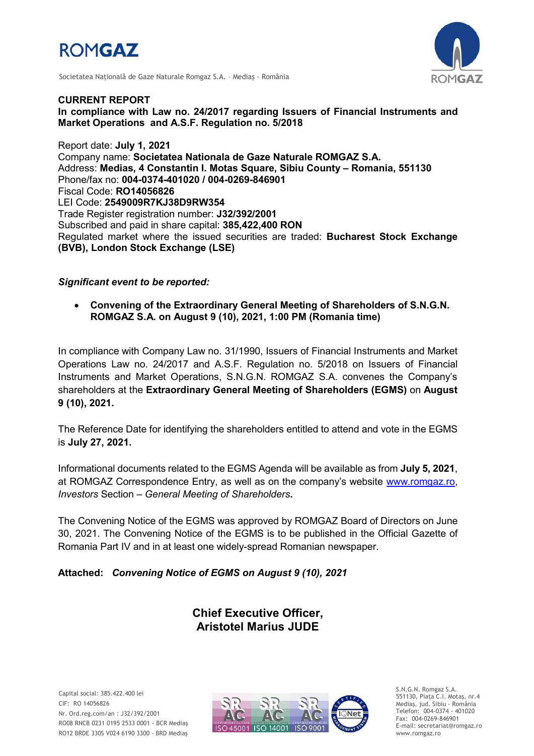





*CURRENT REPORT In compliance with Law no. 24/2017 regarding Issuers of Financial Instruments and Market Operations and A.S.F. Regulation no. 5/2018*

*Report date: July 1, 2021 Company name: Societatea Nationala de Gaze Naturale ROMGAZ S.A. Address: Medias, 4 Constantin I. Motas Square, Sibiu County* **–** *Romania, 551130 Phone/fax no: 004-0374-401020 / 004-0269-846901 Fiscal Code: RO14056826 LEI Code: 2549009R7KJ38D9RW354 Trade Register registration number: J32/392/2001 Subscribed and paid in share capital: 385,422,400 RON Regulated market where the issued securities are traded: Bucharest Stock Exchange (BVB), London Stock Exchange (LSE)*

*Significant event to be reported:*

 *Convening of the Extraordinary General Meeting of Shareholders of S.N.G.N. ROMGAZ S.A. on August 9 (10), 2021, 1:00 PM (Romania time)*

*In compliance with Company Law no. 31/1990, Issuers of Financial Instruments and Market Operations Law no. 24/2017 and A.S.F. Regulation no. 5/2018 on Issuers of Financial*  Instruments and Market Operations, S.N.G.N. ROMGAZ S.A. convenes the Company's *shareholders at the Extraordinary General Meeting of Shareholders (EGMS) on August 9 (10), 2021.*

*The Reference Date for identifying the shareholders entitled to attend and vote in the EGMS is July 27, 2021.*

*Informational documents related to the EGMS Agenda will be available as from July 5, 2021.* at ROMGAZ Correspondence Entry, as well as on the company's website *[www.romgaz.ro,](http://www.romgaz.ro/) Investors Section* – *General Meeting of Shareholders.*

*The Convening Notice of the EGMS was approved by ROMGAZ Board of Directors on June 30, 2021. The Convening Notice of the EGMS is to be published in the Official Gazette of Romania Part IV and in at least one widely-spread Romanian newspaper.*

*Attached: Convening Notice of EGMS on August 9 (10), 2021*

*Chief Executive Officer, Aristotel Marius JUDE*



S.N.G.N. Romgaz S.A. 551130, Piața C.I. Motaş, nr.4 Mediaş, jud. Sibiu - România Telefon: 004-0374 - 401020 Fax: 004-0269-846901 E-mail: secretariat@romgaz.ro www.romgaz.ro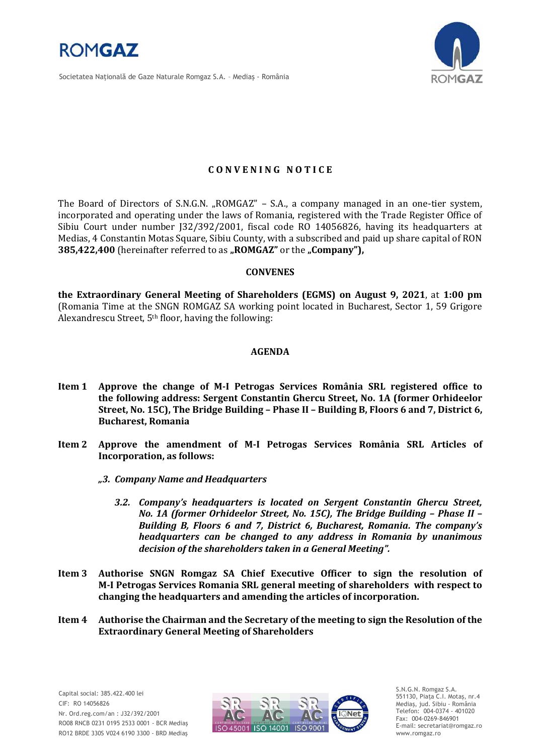

Societatea Naţională de Gaze Naturale Romgaz S.A. – Mediaş - România



## **C O N V E N I N G N O T I C E**

The Board of Directors of S.N.G.N. "ROMGAZ" – S.A., a company managed in an one-tier system, incorporated and operating under the laws of Romania, registered with the Trade Register Office of Sibiu Court under number J32/392/2001, fiscal code RO 14056826, having its headquarters at Medias, 4 Constantin Motas Square, Sibiu County, with a subscribed and paid up share capital of RON **385,422,400** (hereinafter referred to as "ROMGAZ" or the "Company"),

## **CONVENES**

**the Extraordinary General Meeting of Shareholders (EGMS) on August 9, 2021**, at **1:00 pm**  (Romania Time at the SNGN ROMGAZ SA working point located in Bucharest, Sector 1, 59 Grigore Alexandrescu Street, 5th floor, having the following:

## **AGENDA**

- **Item 1 Approve the change of M-I Petrogas Services România SRL registered office to the following address: Sergent Constantin Ghercu Street, No. 1A (former Orhideelor Street, No. 15C), The Bridge Building – Phase II – Building B, Floors 6 and 7, District 6, Bucharest, Romania**
- **Item 2 Approve the amendment of M-I Petrogas Services România SRL Articles of Incorporation, as follows:**
	- *"3. Company Name and Headquarters* 
		- *3.2. Company's headquarters is located on Sergent Constantin Ghercu Street, No. 1A (former Orhideelor Street, No. 15C), The Bridge Building – Phase II – Building B, Floors 6 and 7, District 6, Bucharest, Romania. The company's headquarters can be changed to any address in Romania by unanimous decision of the shareholders taken in a General Meeting".*
- **Item 3 Authorise SNGN Romgaz SA Chief Executive Officer to sign the resolution of M-I Petrogas Services Romania SRL general meeting of shareholders with respect to changing the headquarters and amending the articles of incorporation.**
- **Item 4 Authorise the Chairman and the Secretary of the meeting to sign the Resolution of the Extraordinary General Meeting of Shareholders**



S.N.G.N. Romgaz S.A. 551130, Piața C.I. Motaş, nr.4 Mediaş, jud. Sibiu - România Telefon: 004-0374 - 401020 Fax: 004-0269-846901 E-mail: secretariat@romgaz.ro www.romgaz.ro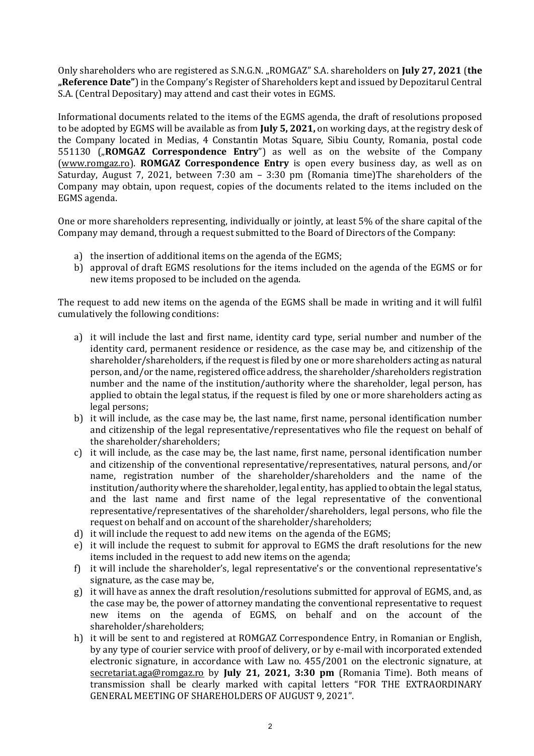Only shareholders who are registered as S.N.G.N. "ROMGAZ" S.A. shareholders on **July 27, 2021** (**the "Reference Date"**) in the Company's Register of Shareholders kept and issued by Depozitarul Central S.A. (Central Depositary) may attend and cast their votes in EGMS.

Informational documents related to the items of the EGMS agenda, the draft of resolutions proposed to be adopted by EGMS will be available as from **July 5, 2021,** on working days, at the registry desk of the Company located in Medias, 4 Constantin Motas Square, Sibiu County, Romania, postal code 551130 ("ROMGAZ Correspondence Entry") as well as on the website of the Company [\(www.romgaz.ro\)](http://www.romgaz.ro/). **ROMGAZ Correspondence Entry** is open every business day, as well as on Saturday, August 7, 2021, between 7:30 am – 3:30 pm (Romania time)The shareholders of the Company may obtain, upon request, copies of the documents related to the items included on the EGMS agenda.

One or more shareholders representing, individually or jointly, at least 5% of the share capital of the Company may demand, through a request submitted to the Board of Directors of the Company:

- a) the insertion of additional items on the agenda of the EGMS;
- b) approval of draft EGMS resolutions for the items included on the agenda of the EGMS or for new items proposed to be included on the agenda.

The request to add new items on the agenda of the EGMS shall be made in writing and it will fulfil cumulatively the following conditions:

- a) it will include the last and first name, identity card type, serial number and number of the identity card, permanent residence or residence, as the case may be, and citizenship of the shareholder/shareholders, if the request is filed by one or more shareholders acting as natural person, and/or the name, registered office address, the shareholder/shareholders registration number and the name of the institution/authority where the shareholder, legal person, has applied to obtain the legal status, if the request is filed by one or more shareholders acting as legal persons;
- b) it will include, as the case may be, the last name, first name, personal identification number and citizenship of the legal representative/representatives who file the request on behalf of the shareholder/shareholders;
- c) it will include, as the case may be, the last name, first name, personal identification number and citizenship of the conventional representative/representatives, natural persons, and/or name, registration number of the shareholder/shareholders and the name of the institution/authority where the shareholder, legal entity, has applied to obtain the legal status, and the last name and first name of the legal representative of the conventional representative/representatives of the shareholder/shareholders, legal persons, who file the request on behalf and on account of the shareholder/shareholders;
- d) it will include the request to add new items on the agenda of the EGMS;
- e) it will include the request to submit for approval to EGMS the draft resolutions for the new items included in the request to add new items on the agenda;
- f) it will include the shareholder's, legal representative's or the conventional representative's signature, as the case may be,
- g) it will have as annex the draft resolution/resolutions submitted for approval of EGMS, and, as the case may be, the power of attorney mandating the conventional representative to request new items on the agenda of EGMS, on behalf and on the account of the shareholder/shareholders;
- h) it will be sent to and registered at ROMGAZ Correspondence Entry, in Romanian or English, by any type of courier service with proof of delivery, or by e-mail with incorporated extended electronic signature, in accordance with Law no. 455/2001 on the electronic signature, at [secretariat.aga@romgaz.ro](mailto:secretariat.aga%40romgaz.ro) by **July 21, 2021, 3:30 pm** (Romania Time). Both means of transmission shall be clearly marked with capital letters "FOR THE EXTRAORDINARY GENERAL MEETING OF SHAREHOLDERS OF AUGUST 9, 2021".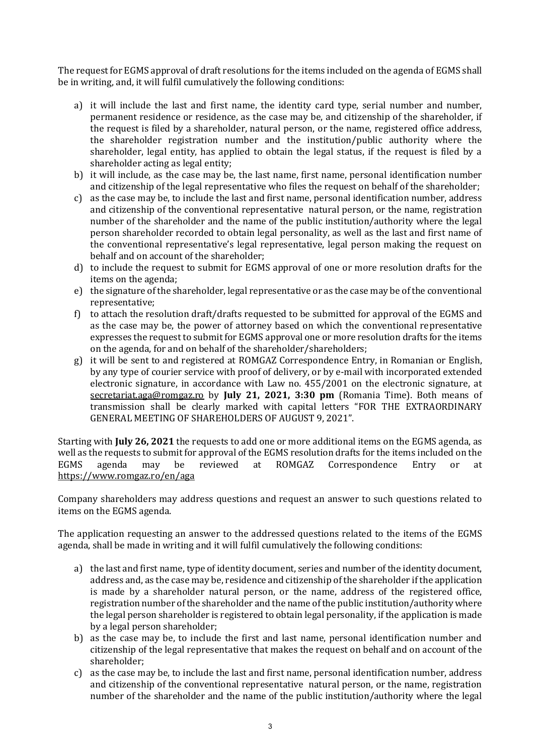The request for EGMS approval of draft resolutions for the items included on the agenda of EGMS shall be in writing, and, it will fulfil cumulatively the following conditions:

- a) it will include the last and first name, the identity card type, serial number and number, permanent residence or residence, as the case may be, and citizenship of the shareholder, if the request is filed by a shareholder, natural person, or the name, registered office address, the shareholder registration number and the institution/public authority where the shareholder, legal entity, has applied to obtain the legal status, if the request is filed by a shareholder acting as legal entity;
- b) it will include, as the case may be, the last name, first name, personal identification number and citizenship of the legal representative who files the request on behalf of the shareholder;
- c) as the case may be, to include the last and first name, personal identification number, address and citizenship of the conventional representative natural person, or the name, registration number of the shareholder and the name of the public institution/authority where the legal person shareholder recorded to obtain legal personality, as well as the last and first name of the conventional representative's legal representative, legal person making the request on behalf and on account of the shareholder;
- d) to include the request to submit for EGMS approval of one or more resolution drafts for the items on the agenda;
- e) the signature of the shareholder, legal representative or as the case may be of the conventional representative;
- f) to attach the resolution draft/drafts requested to be submitted for approval of the EGMS and as the case may be, the power of attorney based on which the conventional representative expresses the request to submit for EGMS approval one or more resolution drafts for the items on the agenda, for and on behalf of the shareholder/shareholders;
- g) it will be sent to and registered at ROMGAZ Correspondence Entry, in Romanian or English, by any type of courier service with proof of delivery, or by e-mail with incorporated extended electronic signature, in accordance with Law no. 455/2001 on the electronic signature, at [secretariat.aga@romgaz.ro](mailto:secretariat.aga%40romgaz.ro) by **July 21, 2021, 3:30 pm** (Romania Time). Both means of transmission shall be clearly marked with capital letters "FOR THE EXTRAORDINARY GENERAL MEETING OF SHAREHOLDERS OF AUGUST 9, 2021".

Starting with **July 26, 2021** the requests to add one or more additional items on the EGMS agenda, as well as the requests to submit for approval of the EGMS resolution drafts for the items included on the EGMS agenda may be reviewed at ROMGAZ Correspondence Entry or at <https://www.romgaz.ro/en/aga>

Company shareholders may address questions and request an answer to such questions related to items on the EGMS agenda.

The application requesting an answer to the addressed questions related to the items of the EGMS agenda, shall be made in writing and it will fulfil cumulatively the following conditions:

- a) the last and first name, type of identity document, series and number of the identity document, address and, as the case may be, residence and citizenship of the shareholder if the application is made by a shareholder natural person, or the name, address of the registered office, registration number of the shareholder and the name of the public institution/authority where the legal person shareholder is registered to obtain legal personality, if the application is made by a legal person shareholder;
- b) as the case may be, to include the first and last name, personal identification number and citizenship of the legal representative that makes the request on behalf and on account of the shareholder;
- c) as the case may be, to include the last and first name, personal identification number, address and citizenship of the conventional representative natural person, or the name, registration number of the shareholder and the name of the public institution/authority where the legal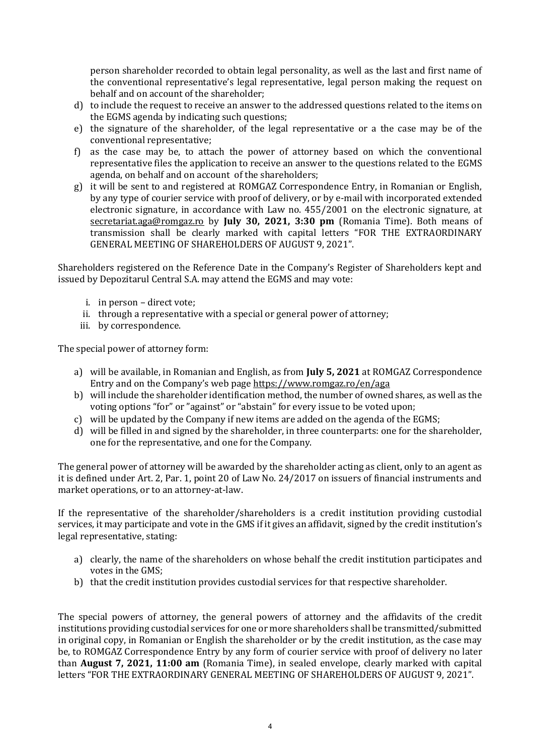person shareholder recorded to obtain legal personality, as well as the last and first name of the conventional representative's legal representative, legal person making the request on behalf and on account of the shareholder;

- d) to include the request to receive an answer to the addressed questions related to the items on the EGMS agenda by indicating such questions;
- e) the signature of the shareholder, of the legal representative or a the case may be of the conventional representative;
- f) as the case may be, to attach the power of attorney based on which the conventional representative files the application to receive an answer to the questions related to the EGMS agenda, on behalf and on account of the shareholders;
- g) it will be sent to and registered at ROMGAZ Correspondence Entry, in Romanian or English, by any type of courier service with proof of delivery, or by e-mail with incorporated extended electronic signature, in accordance with Law no. 455/2001 on the electronic signature, at [secretariat.aga@romgaz.ro](mailto:secretariat.aga%40romgaz.ro) by **July 30, 2021, 3:30 pm** (Romania Time). Both means of transmission shall be clearly marked with capital letters "FOR THE EXTRAORDINARY GENERAL MEETING OF SHAREHOLDERS OF AUGUST 9, 2021".

Shareholders registered on the Reference Date in the Company's Register of Shareholders kept and issued by Depozitarul Central S.A. may attend the EGMS and may vote:

- i. in person direct vote;
- ii. through a representative with a special or general power of attorney;
- iii. by correspondence.

The special power of attorney form:

- a) will be available, in Romanian and English, as from **July 5, 2021** at ROMGAZ Correspondence Entry and on the Company's web page <https://www.romgaz.ro/en/aga>
- b) will include the shareholder identification method, the number of owned shares, as well as the voting options "for" or "against" or "abstain" for every issue to be voted upon;
- c) will be updated by the Company if new items are added on the agenda of the EGMS;
- d) will be filled in and signed by the shareholder, in three counterparts: one for the shareholder, one for the representative, and one for the Company.

The general power of attorney will be awarded by the shareholder acting as client, only to an agent as it is defined under Art. 2, Par. 1, point 20 of Law No. 24/2017 on issuers of financial instruments and market operations, or to an attorney-at-law.

If the representative of the shareholder/shareholders is a credit institution providing custodial services, it may participate and vote in the GMS if it gives an affidavit, signed by the credit institution's legal representative, stating:

- a) clearly, the name of the shareholders on whose behalf the credit institution participates and votes in the GMS;
- b) that the credit institution provides custodial services for that respective shareholder.

The special powers of attorney, the general powers of attorney and the affidavits of the credit institutions providing custodial services for one or more shareholders shall be transmitted/submitted in original copy, in Romanian or English the shareholder or by the credit institution, as the case may be, to ROMGAZ Correspondence Entry by any form of courier service with proof of delivery no later than **August 7, 2021, 11:00 am** (Romania Time), in sealed envelope, clearly marked with capital letters "FOR THE EXTRAORDINARY GENERAL MEETING OF SHAREHOLDERS OF AUGUST 9, 2021".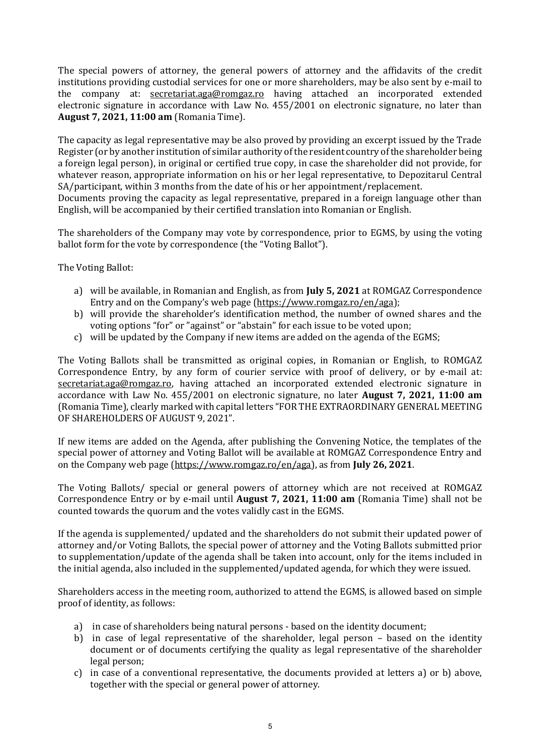The special powers of attorney, the general powers of attorney and the affidavits of the credit institutions providing custodial services for one or more shareholders, may be also sent by e-mail to the company at: [secretariat.aga@romgaz.ro](mailto:secretariat.aga%40romgaz.ro) having attached an incorporated extended electronic signature in accordance with Law No. 455/2001 on electronic signature, no later than **August 7, 2021, 11:00 am** (Romania Time).

The capacity as legal representative may be also proved by providing an excerpt issued by the Trade Register (or by another institution of similar authority of the resident country of the shareholder being a foreign legal person), in original or certified true copy, in case the shareholder did not provide, for whatever reason, appropriate information on his or her legal representative, to Depozitarul Central SA/participant, within 3 months from the date of his or her appointment/replacement.

Documents proving the capacity as legal representative, prepared in a foreign language other than English, will be accompanied by their certified translation into Romanian or English.

The shareholders of the Company may vote by correspondence, prior to EGMS, by using the voting ballot form for the vote by correspondence (the "Voting Ballot").

The Voting Ballot:

- a) will be available, in Romanian and English, as from **July 5, 2021** at ROMGAZ Correspondence Entry and on the Company's web page ([https://www.romgaz.ro/en/aga\)](https://www.romgaz.ro/en/aga);
- b) will provide the shareholder's identification method, the number of owned shares and the voting options "for" or "against" or "abstain" for each issue to be voted upon;
- c) will be updated by the Company if new items are added on the agenda of the EGMS;

The Voting Ballots shall be transmitted as original copies, in Romanian or English, to ROMGAZ Correspondence Entry, by any form of courier service with proof of delivery, or by e-mail at: [secretariat.aga@romgaz.ro,](mailto:secretariat.aga%40romgaz.ro) having attached an incorporated extended electronic signature in accordance with Law No. 455/2001 on electronic signature, no later **August 7, 2021, 11:00 am**  (Romania Time), clearly marked with capital letters "FOR THE EXTRAORDINARY GENERAL MEETING OF SHAREHOLDERS OF AUGUST 9, 2021".

If new items are added on the Agenda, after publishing the Convening Notice, the templates of the special power of attorney and Voting Ballot will be available at ROMGAZ Correspondence Entry and on the Company web page [\(https://www.romgaz.ro/en/aga\)](https://www.romgaz.ro/en/aga), as from **July 26, 2021**.

The Voting Ballots/ special or general powers of attorney which are not received at ROMGAZ Correspondence Entry or by e-mail until **August 7, 2021, 11:00 am** (Romania Time) shall not be counted towards the quorum and the votes validly cast in the EGMS.

If the agenda is supplemented/ updated and the shareholders do not submit their updated power of attorney and/or Voting Ballots, the special power of attorney and the Voting Ballots submitted prior to supplementation/update of the agenda shall be taken into account, only for the items included in the initial agenda, also included in the supplemented/updated agenda, for which they were issued.

Shareholders access in the meeting room, authorized to attend the EGMS, is allowed based on simple proof of identity, as follows:

- a) in case of shareholders being natural persons based on the identity document;
- b) in case of legal representative of the shareholder, legal person based on the identity document or of documents certifying the quality as legal representative of the shareholder legal person;
- c) in case of a conventional representative, the documents provided at letters a) or b) above, together with the special or general power of attorney.